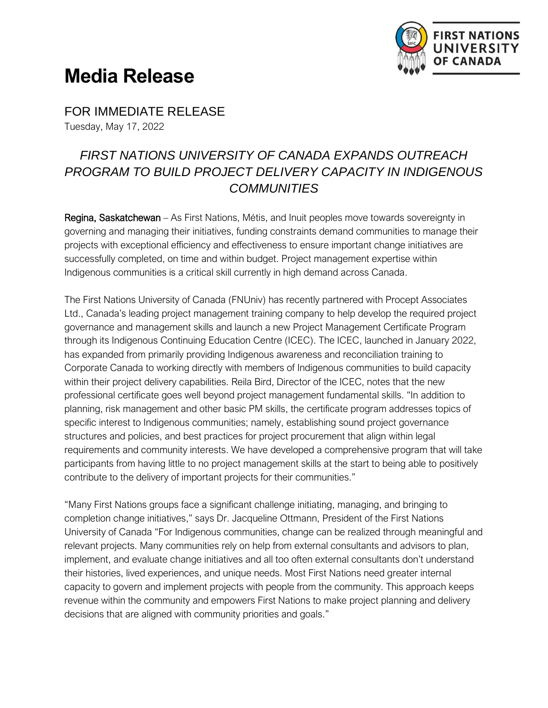

## **Media Release**

FOR IMMEDIATE RELEASE Tuesday, May 17, 2022

## *FIRST NATIONS UNIVERSITY OF CANADA EXPANDS OUTREACH PROGRAM TO BUILD PROJECT DELIVERY CAPACITY IN INDIGENOUS COMMUNITIES*

Regina, Saskatchewan – As First Nations, Métis, and Inuit peoples move towards sovereignty in governing and managing their initiatives, funding constraints demand communities to manage their projects with exceptional efficiency and effectiveness to ensure important change initiatives are successfully completed, on time and within budget. Project management expertise within Indigenous communities is a critical skill currently in high demand across Canada.

The First Nations University of Canada (FNUniv) has recently partnered with Procept Associates Ltd., Canada's leading project management training company to help develop the required project governance and management skills and launch a new Project Management Certificate Program through its Indigenous Continuing Education Centre (ICEC). The ICEC, launched in January 2022, has expanded from primarily providing Indigenous awareness and reconciliation training to Corporate Canada to working directly with members of Indigenous communities to build capacity within their project delivery capabilities. Reila Bird, Director of the ICEC, notes that the new professional certificate goes well beyond project management fundamental skills. "In addition to planning, risk management and other basic PM skills, the certificate program addresses topics of specific interest to Indigenous communities; namely, establishing sound project governance structures and policies, and best practices for project procurement that align within legal requirements and community interests. We have developed a comprehensive program that will take participants from having little to no project management skills at the start to being able to positively contribute to the delivery of important projects for their communities."

"Many First Nations groups face a significant challenge initiating, managing, and bringing to completion change initiatives," says Dr. Jacqueline Ottmann, President of the First Nations University of Canada "For Indigenous communities, change can be realized through meaningful and relevant projects. Many communities rely on help from external consultants and advisors to plan, implement, and evaluate change initiatives and all too often external consultants don't understand their histories, lived experiences, and unique needs. Most First Nations need greater internal capacity to govern and implement projects with people from the community. This approach keeps revenue within the community and empowers First Nations to make project planning and delivery decisions that are aligned with community priorities and goals."